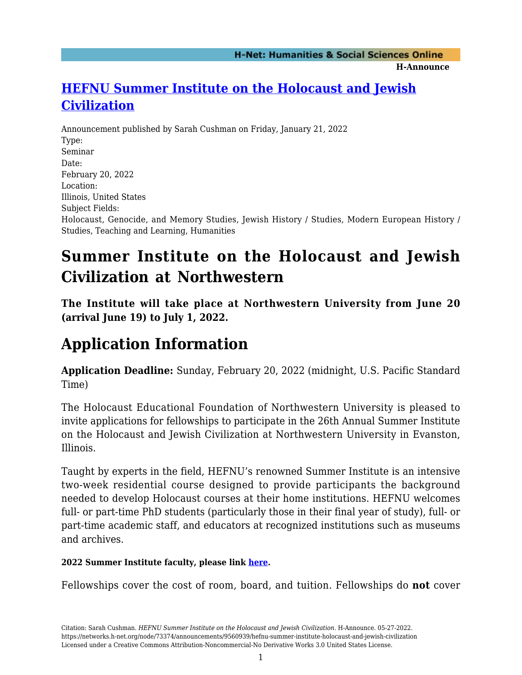#### **H-Announce**

## **[HEFNU Summer Institute on the Holocaust and Jewish](https://networks.h-net.org/node/73374/announcements/9560939/hefnu-summer-institute-holocaust-and-jewish-civilization) [Civilization](https://networks.h-net.org/node/73374/announcements/9560939/hefnu-summer-institute-holocaust-and-jewish-civilization)**

Announcement published by Sarah Cushman on Friday, January 21, 2022 Type: Seminar Date: February 20, 2022 Location: Illinois, United States Subject Fields: Holocaust, Genocide, and Memory Studies, Jewish History / Studies, Modern European History / Studies, Teaching and Learning, Humanities

# **Summer Institute on the Holocaust and Jewish Civilization at Northwestern**

**The Institute will take place at Northwestern University from June 20 (arrival June 19) to July 1, 2022.**

# **Application Information**

**Application Deadline:** Sunday, February 20, 2022 (midnight, U.S. Pacific Standard Time)

The Holocaust Educational Foundation of Northwestern University is pleased to invite applications for fellowships to participate in the 26th Annual Summer Institute on the Holocaust and Jewish Civilization at Northwestern University in Evanston, Illinois.

Taught by experts in the field, HEFNU's renowned Summer Institute is an intensive two-week residential course designed to provide participants the background needed to develop Holocaust courses at their home institutions. HEFNU welcomes full- or part-time PhD students (particularly those in their final year of study), full- or part-time academic staff, and educators at recognized institutions such as museums and archives.

### **2022 Summer Institute faculty, please link [here](https://hef.northwestern.edu/institutes/northwestern/2021-summer-institute-faculty.html).**

Fellowships cover the cost of room, board, and tuition. Fellowships do **not** cover